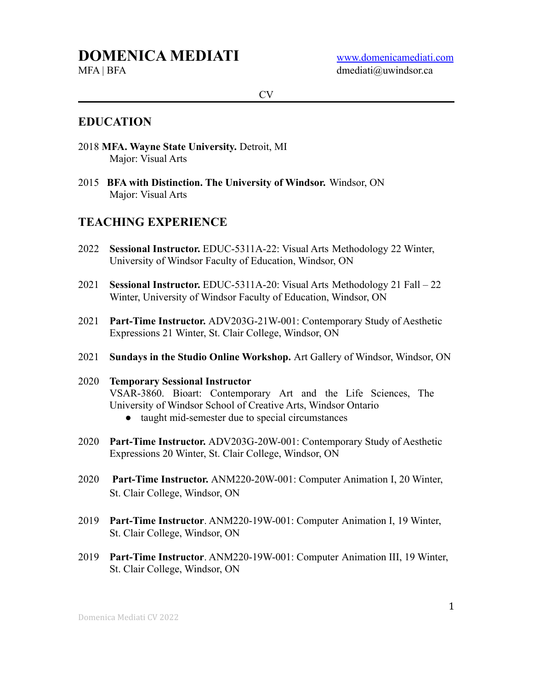# **DOMENICA MEDIATI** [www.domenicamediati.com](http://www.domenicamediati.com)

CV

#### **EDUCATION**

- 2018 **MFA. Wayne State University.** Detroit, MI Major: Visual Arts
- 2015 **BFA with Distinction. The University of Windsor.** Windsor, ON Major: Visual Arts

#### **TEACHING EXPERIENCE**

- 2022 **Sessional Instructor.** EDUC-5311A-22: Visual Arts Methodology 22 Winter, University of Windsor Faculty of Education, Windsor, ON
- 2021 **Sessional Instructor.** EDUC-5311A-20: Visual Arts Methodology 21 Fall 22 Winter, University of Windsor Faculty of Education, Windsor, ON
- 2021 **Part-Time Instructor.** ADV203G-21W-001: Contemporary Study of Aesthetic Expressions 21 Winter, St. Clair College, Windsor, ON
- 2021 **Sundays in the Studio Online Workshop.** Art Gallery of Windsor, Windsor, ON
- 2020 **Temporary Sessional Instructor** VSAR-3860. Bioart: Contemporary Art and the Life Sciences, The University of Windsor School of Creative Arts, Windsor Ontario
	- taught mid-semester due to special circumstances
- 2020 **Part-Time Instructor.** ADV203G-20W-001: Contemporary Study of Aesthetic Expressions 20 Winter, St. Clair College, Windsor, ON
- 2020 **Part-Time Instructor.** ANM220-20W-001: Computer Animation I, 20 Winter, St. Clair College, Windsor, ON
- 2019 **Part-Time Instructor**. ANM220-19W-001: Computer Animation I, 19 Winter, St. Clair College, Windsor, ON
- 2019 **Part-Time Instructor**. ANM220-19W-001: Computer Animation III, 19 Winter, St. Clair College, Windsor, ON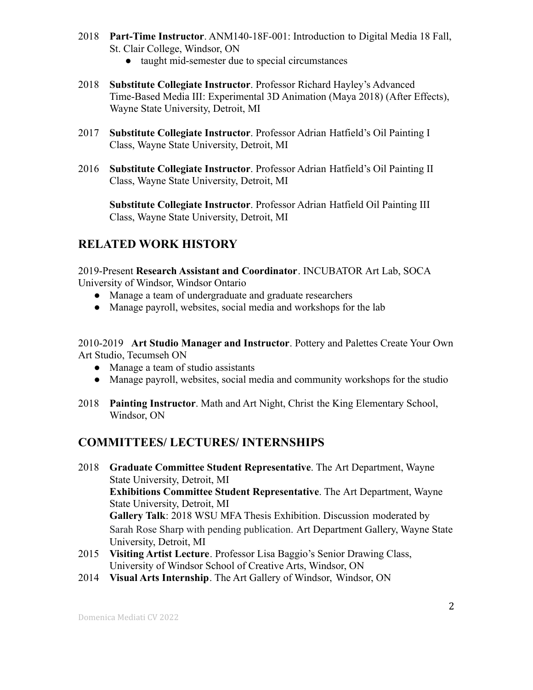- 2018 **Part-Time Instructor**. ANM140-18F-001: Introduction to Digital Media 18 Fall, St. Clair College, Windsor, ON
	- taught mid-semester due to special circumstances
- 2018 **Substitute Collegiate Instructor**. Professor Richard Hayley's Advanced Time-Based Media III: Experimental 3D Animation (Maya 2018) (After Effects), Wayne State University, Detroit, MI
- 2017 **Substitute Collegiate Instructor**. Professor Adrian Hatfield's Oil Painting I Class, Wayne State University, Detroit, MI
- 2016 **Substitute Collegiate Instructor**. Professor Adrian Hatfield's Oil Painting II Class, Wayne State University, Detroit, MI

**Substitute Collegiate Instructor**. Professor Adrian Hatfield Oil Painting III Class, Wayne State University, Detroit, MI

### **RELATED WORK HISTORY**

2019-Present **Research Assistant and Coordinator**. INCUBATOR Art Lab, SOCA University of Windsor, Windsor Ontario

- Manage a team of undergraduate and graduate researchers
- Manage payroll, websites, social media and workshops for the lab

2010-2019 **Art Studio Manager and Instructor**. Pottery and Palettes Create Your Own Art Studio, Tecumseh ON

- Manage a team of studio assistants
- Manage payroll, websites, social media and community workshops for the studio
- 2018 **Painting Instructor**. Math and Art Night, Christ the King Elementary School, Windsor, ON

### **COMMITTEES/ LECTURES/ INTERNSHIPS**

- 2018 **Graduate Committee Student Representative**. The Art Department, Wayne State University, Detroit, MI **Exhibitions Committee Student Representative**. The Art Department, Wayne State University, Detroit, MI **Gallery Talk**: 2018 WSU MFA Thesis Exhibition. Discussion moderated by Sarah Rose Sharp with pending publication. Art Department Gallery, Wayne State University, Detroit, MI
- 2015 **Visiting Artist Lecture**. Professor Lisa Baggio's Senior Drawing Class, University of Windsor School of Creative Arts, Windsor, ON
- 2014 **Visual Arts Internship**. The Art Gallery of Windsor, Windsor, ON